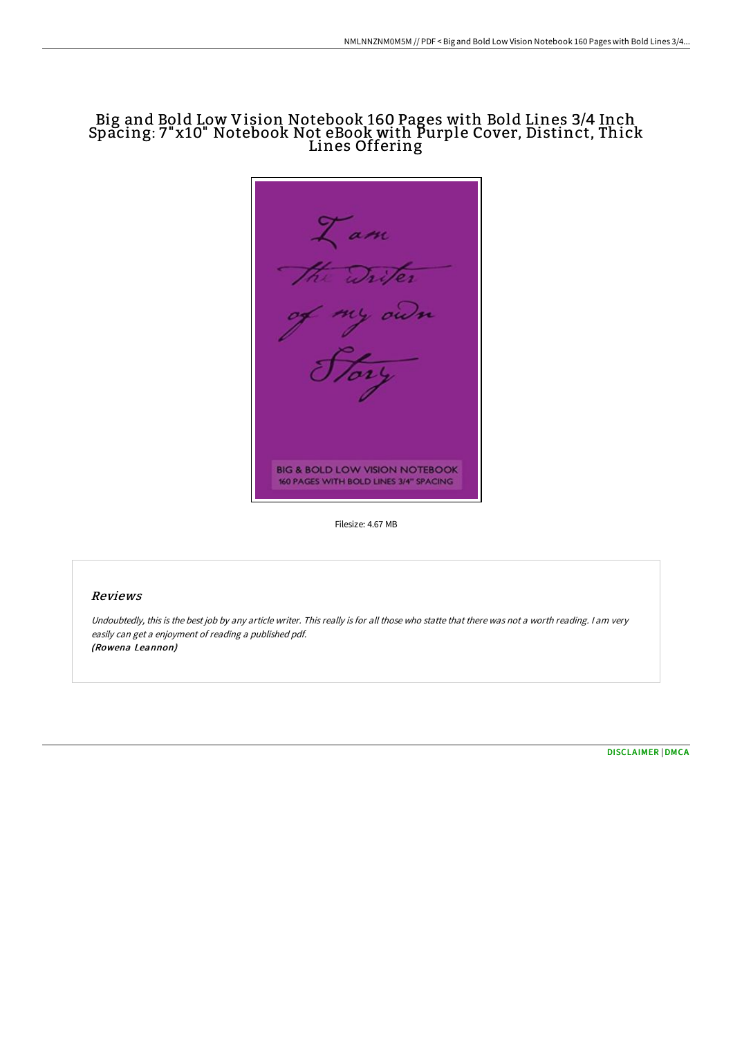# Big and Bold Low Vision Notebook 160 Pages with Bold Lines 3/4 Inch Spacing: 7"x10" Notebook Not eBook with Purple Cover, Distinct, Thick Lines Offering

 $\alpha m$ the Triter<br>of my own<br>Le BIG & BOLD LOW VISION NOTEBOOK 160 PAGES WITH BOLD LINES 3/4" SPACING

Filesize: 4.67 MB

#### Reviews

Undoubtedly, this is the best job by any article writer. This really is for all those who statte that there was not <sup>a</sup> worth reading. <sup>I</sup> am very easily can get <sup>a</sup> enjoyment of reading <sup>a</sup> published pdf. (Rowena Leannon)

[DISCLAIMER](http://techno-pub.tech/disclaimer.html) | [DMCA](http://techno-pub.tech/dmca.html)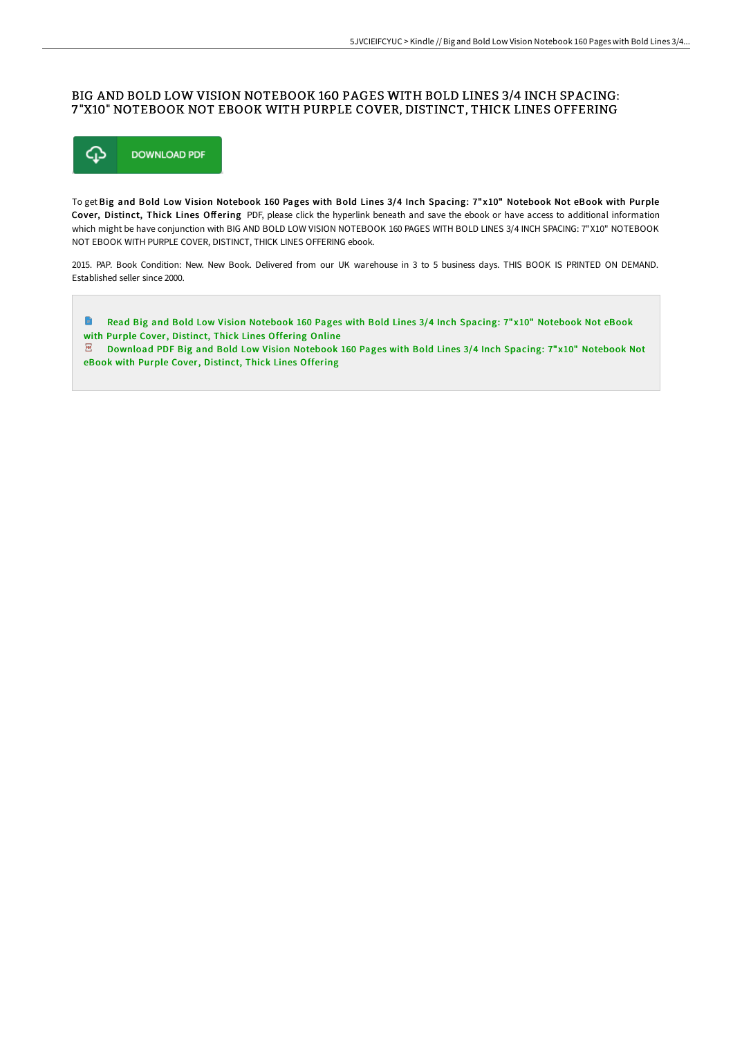## BIG AND BOLD LOW VISION NOTEBOOK 160 PAGES WITH BOLD LINES 3/4 INCH SPACING: 7 "X10" NOTEBOOK NOT EBOOK WITH PURPLE COVER, DISTINCT, THICK LINES OFFERING



To get Big and Bold Low Vision Notebook 160 Pages with Bold Lines 3/4 Inch Spacing: 7" x10" Notebook Not eBook with Purple Cover, Distinct, Thick Lines Offering PDF, please click the hyperlink beneath and save the ebook or have access to additional information which might be have conjunction with BIG AND BOLD LOW VISION NOTEBOOK 160 PAGES WITH BOLD LINES 3/4 INCH SPACING: 7"X10" NOTEBOOK NOT EBOOK WITH PURPLE COVER, DISTINCT, THICK LINES OFFERING ebook.

2015. PAP. Book Condition: New. New Book. Delivered from our UK warehouse in 3 to 5 business days. THIS BOOK IS PRINTED ON DEMAND. Established seller since 2000.